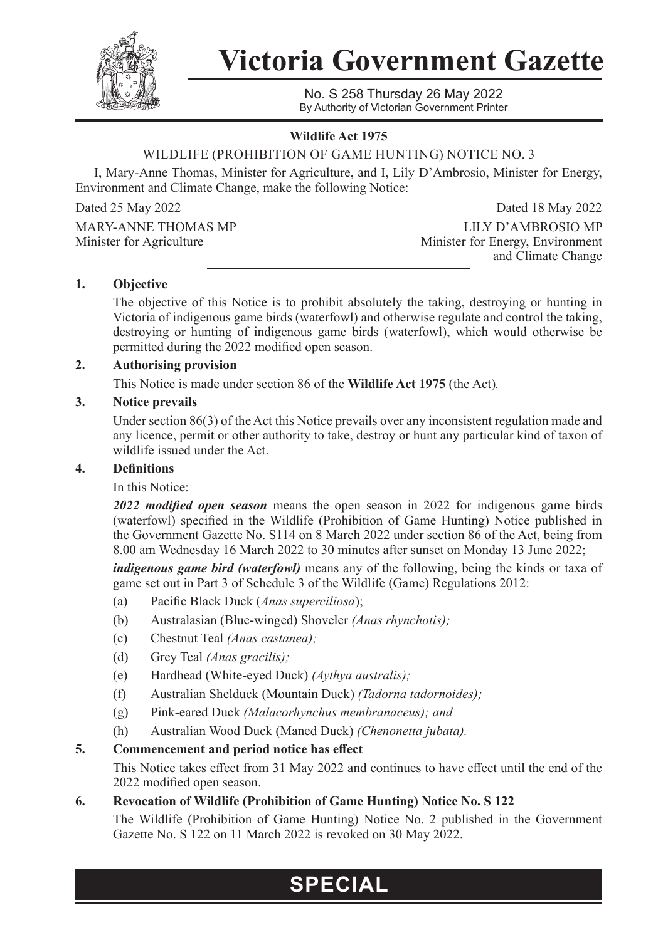

**Victoria Government Gazette**

No. S 258 Thursday 26 May 2022 By Authority of Victorian Government Printer

### **Wildlife Act 1975**

# WILDLIFE (PROHIBITION OF GAME HUNTING) NOTICE NO. 3

I, Mary-Anne Thomas, Minister for Agriculture, and I, Lily D'Ambrosio, Minister for Energy, Environment and Climate Change, make the following Notice:

Dated 25 May 2022 Dated 18 May 2022

MARY-ANNE THOMAS MP LILY D'AMBROSIO MP<br>Minister for Agriculture Minister for Energy, Environment Minister for Energy, Environment and Climate Change

#### **1. Objective**

The objective of this Notice is to prohibit absolutely the taking, destroying or hunting in Victoria of indigenous game birds (waterfowl) and otherwise regulate and control the taking, destroying or hunting of indigenous game birds (waterfowl), which would otherwise be permitted during the 2022 modified open season.

#### **2. Authorising provision**

This Notice is made under section 86 of the **Wildlife Act 1975** (the Act)*.*

#### **3. Notice prevails**

Under section 86(3) of the Act this Notice prevails over any inconsistent regulation made and any licence, permit or other authority to take, destroy or hunt any particular kind of taxon of wildlife issued under the Act.

#### **4. Definitions**

In this Notice:

*2022 modified open season* means the open season in 2022 for indigenous game birds (waterfowl) specified in the Wildlife (Prohibition of Game Hunting) Notice published in the Government Gazette No. S114 on 8 March 2022 under section 86 of the Act, being from 8.00 am Wednesday 16 March 2022 to 30 minutes after sunset on Monday 13 June 2022;

*indigenous game bird (waterfowl)* means any of the following, being the kinds or taxa of game set out in Part 3 of Schedule 3 of the Wildlife (Game) Regulations 2012:

- (a) Pacific Black Duck (*Anas superciliosa*);
- (b) Australasian (Blue-winged) Shoveler *(Anas rhynchotis);*
- (c) Chestnut Teal *(Anas castanea);*
- (d) Grey Teal *(Anas gracilis);*
- (e) Hardhead (White-eyed Duck) *(Aythya australis);*
- (f) Australian Shelduck (Mountain Duck) *(Tadorna tadornoides);*
- (g) Pink-eared Duck *(Malacorhynchus membranaceus); and*
- (h) Australian Wood Duck (Maned Duck) *(Chenonetta jubata).*

# **5. Commencement and period notice has effect**

This Notice takes effect from 31 May 2022 and continues to have effect until the end of the 2022 modified open season.

# **6. Revocation of Wildlife (Prohibition of Game Hunting) Notice No. S 122**

The Wildlife (Prohibition of Game Hunting) Notice No. 2 published in the Government Gazette No. S 122 on 11 March 2022 is revoked on 30 May 2022.

# **SPECIAL**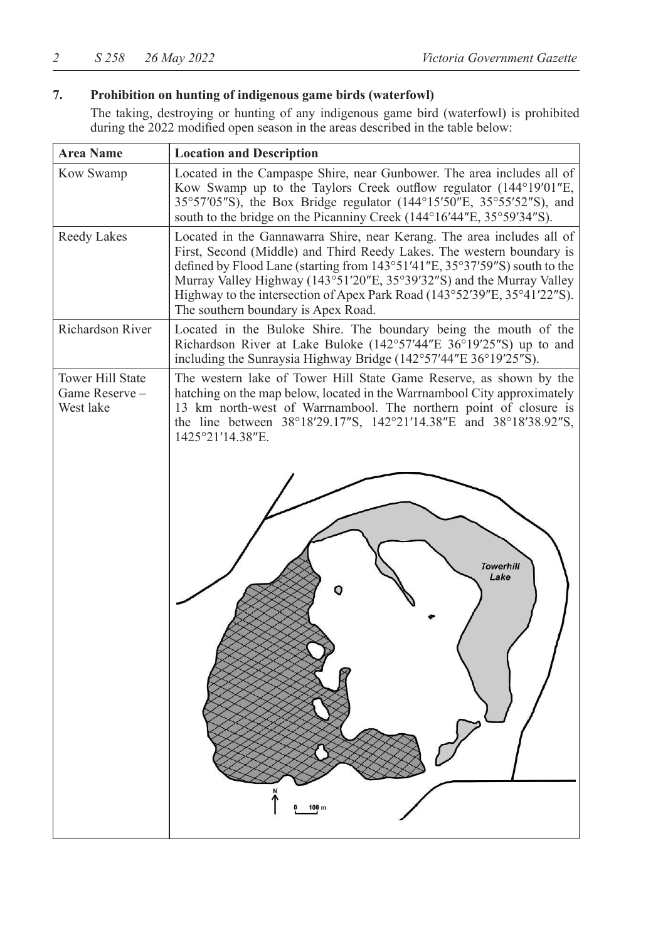# **7. Prohibition on hunting of indigenous game birds (waterfowl)**

The taking, destroying or hunting of any indigenous game bird (waterfowl) is prohibited during the 2022 modified open season in the areas described in the table below:

| <b>Area Name</b>                               | <b>Location and Description</b>                                                                                                                                                                                                                                                                                                                                                                                           |  |
|------------------------------------------------|---------------------------------------------------------------------------------------------------------------------------------------------------------------------------------------------------------------------------------------------------------------------------------------------------------------------------------------------------------------------------------------------------------------------------|--|
| Kow Swamp                                      | Located in the Campaspe Shire, near Gunbower. The area includes all of<br>Kow Swamp up to the Taylors Creek outflow regulator (144°19'01"E,<br>35°57′05″S), the Box Bridge regulator (144°15′50″E, 35°55′52″S), and<br>south to the bridge on the Picanniny Creek (144°16'44"E, 35°59'34"S).                                                                                                                              |  |
| Reedy Lakes                                    | Located in the Gannawarra Shire, near Kerang. The area includes all of<br>First, Second (Middle) and Third Reedy Lakes. The western boundary is<br>defined by Flood Lane (starting from 143°51'41"E, 35°37'59"S) south to the<br>Murray Valley Highway (143°51'20"E, 35°39'32"S) and the Murray Valley<br>Highway to the intersection of Apex Park Road (143°52'39"E, 35°41'22"S).<br>The southern boundary is Apex Road. |  |
| Richardson River                               | Located in the Buloke Shire. The boundary being the mouth of the<br>Richardson River at Lake Buloke (142°57'44"E 36°19'25"S) up to and<br>including the Sunraysia Highway Bridge (142°57'44"E 36°19'25"S).                                                                                                                                                                                                                |  |
| Tower Hill State<br>Game Reserve-<br>West lake | The western lake of Tower Hill State Game Reserve, as shown by the<br>hatching on the map below, located in the Warrnambool City approximately<br>13 km north-west of Warrnambool. The northern point of closure is<br>the line between 38°18'29.17"S, 142°21'14.38"E and 38°18'38.92"S,<br>1425°21'14.38"E.                                                                                                              |  |
|                                                | <b>Towerhill</b><br>Lake<br>100                                                                                                                                                                                                                                                                                                                                                                                           |  |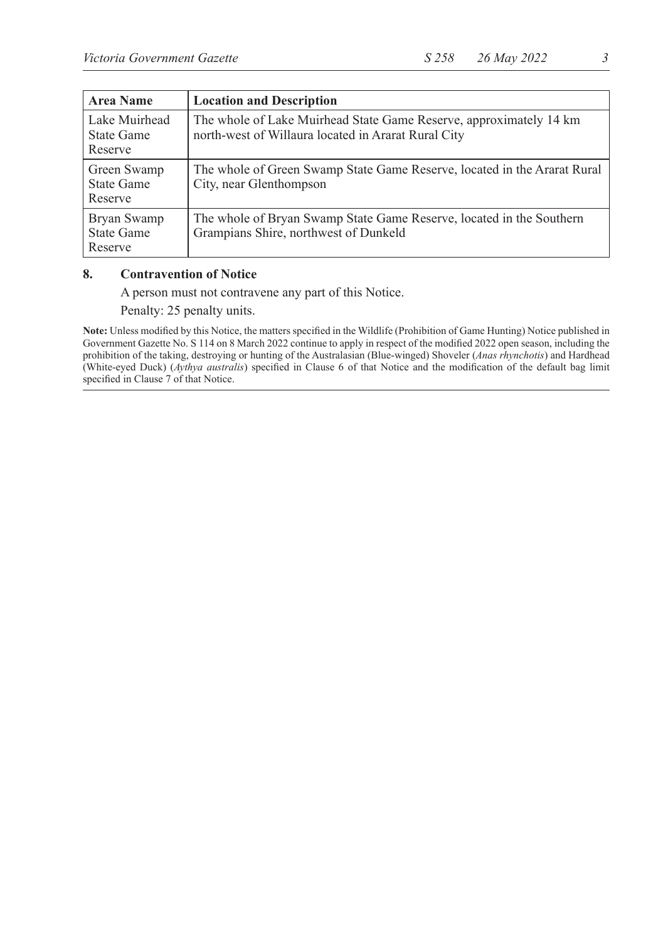| <b>Area Name</b>                       | <b>Location and Description</b>                                                                                           |
|----------------------------------------|---------------------------------------------------------------------------------------------------------------------------|
| Lake Muirhead<br>State Game<br>Reserve | The whole of Lake Muirhead State Game Reserve, approximately 14 km<br>north-west of Willaura located in Ararat Rural City |
| Green Swamp<br>State Game<br>Reserve   | The whole of Green Swamp State Game Reserve, located in the Ararat Rural<br>City, near Glenthompson                       |
| Bryan Swamp<br>State Game<br>Reserve   | The whole of Bryan Swamp State Game Reserve, located in the Southern<br>Grampians Shire, northwest of Dunkeld             |

#### **8. Contravention of Notice**

A person must not contravene any part of this Notice.

Penalty: 25 penalty units.

**Note:** Unless modified by this Notice, the matters specified in the Wildlife (Prohibition of Game Hunting) Notice published in Government Gazette No. S 114 on 8 March 2022 continue to apply in respect of the modified 2022 open season, including the prohibition of the taking, destroying or hunting of the Australasian (Blue-winged) Shoveler (*Anas rhynchotis*) and Hardhead (White-eyed Duck) (*Aythya australis*) specified in Clause 6 of that Notice and the modification of the default bag limit specified in Clause 7 of that Notice.